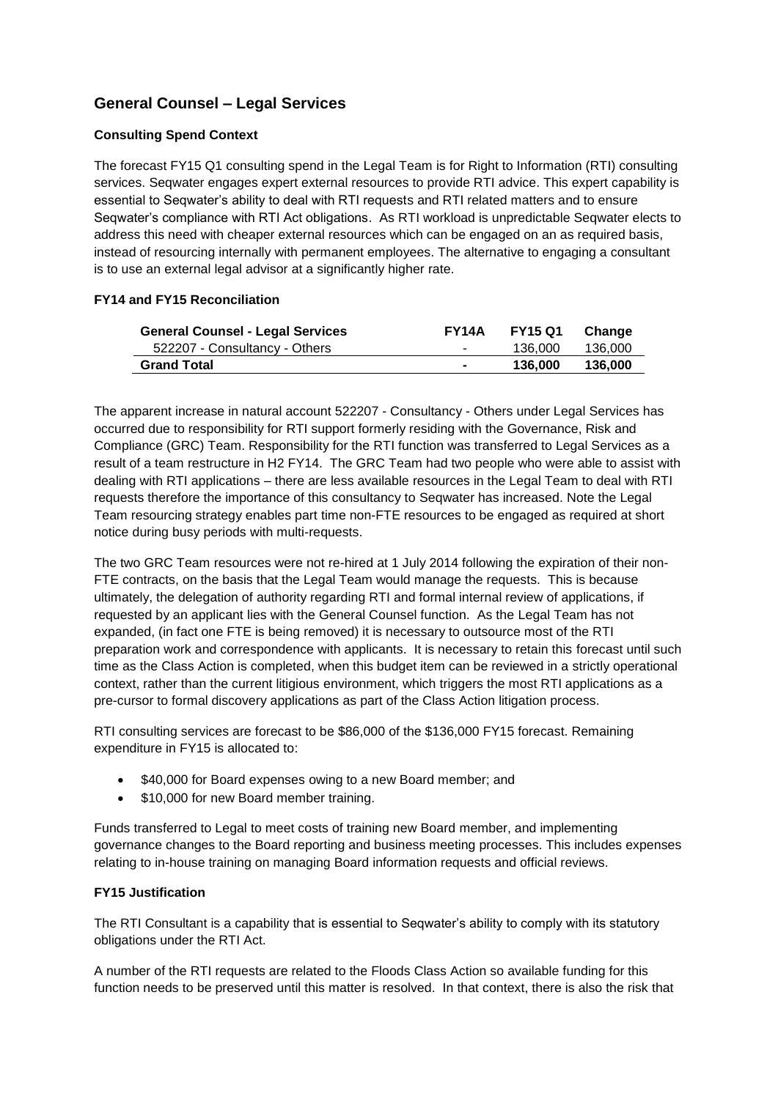# **General Counsel – Legal Services**

## **Consulting Spend Context**

The forecast FY15 Q1 consulting spend in the Legal Team is for Right to Information (RTI) consulting services. Seqwater engages expert external resources to provide RTI advice. This expert capability is essential to Seqwater's ability to deal with RTI requests and RTI related matters and to ensure Seqwater's compliance with RTI Act obligations. As RTI workload is unpredictable Seqwater elects to address this need with cheaper external resources which can be engaged on an as required basis, instead of resourcing internally with permanent employees. The alternative to engaging a consultant is to use an external legal advisor at a significantly higher rate.

### **FY14 and FY15 Reconciliation**

| <b>General Counsel - Legal Services</b> | <b>FY14A</b>   | <b>FY15 Q1</b> | Change  |
|-----------------------------------------|----------------|----------------|---------|
| 522207 - Consultancy - Others           | ۰              | 136.000        | 136,000 |
| <b>Grand Total</b>                      | $\blacksquare$ | 136.000        | 136,000 |

The apparent increase in natural account 522207 - Consultancy - Others under Legal Services has occurred due to responsibility for RTI support formerly residing with the Governance, Risk and Compliance (GRC) Team. Responsibility for the RTI function was transferred to Legal Services as a result of a team restructure in H2 FY14. The GRC Team had two people who were able to assist with dealing with RTI applications – there are less available resources in the Legal Team to deal with RTI requests therefore the importance of this consultancy to Seqwater has increased. Note the Legal Team resourcing strategy enables part time non-FTE resources to be engaged as required at short notice during busy periods with multi-requests.

The two GRC Team resources were not re-hired at 1 July 2014 following the expiration of their non-FTE contracts, on the basis that the Legal Team would manage the requests. This is because ultimately, the delegation of authority regarding RTI and formal internal review of applications, if requested by an applicant lies with the General Counsel function. As the Legal Team has not expanded, (in fact one FTE is being removed) it is necessary to outsource most of the RTI preparation work and correspondence with applicants. It is necessary to retain this forecast until such time as the Class Action is completed, when this budget item can be reviewed in a strictly operational context, rather than the current litigious environment, which triggers the most RTI applications as a pre-cursor to formal discovery applications as part of the Class Action litigation process.

RTI consulting services are forecast to be \$86,000 of the \$136,000 FY15 forecast. Remaining expenditure in FY15 is allocated to:

- \$40,000 for Board expenses owing to a new Board member; and
- \$10,000 for new Board member training.

Funds transferred to Legal to meet costs of training new Board member, and implementing governance changes to the Board reporting and business meeting processes. This includes expenses relating to in-house training on managing Board information requests and official reviews.

#### **FY15 Justification**

The RTI Consultant is a capability that is essential to Seqwater's ability to comply with its statutory obligations under the RTI Act.

A number of the RTI requests are related to the Floods Class Action so available funding for this function needs to be preserved until this matter is resolved. In that context, there is also the risk that